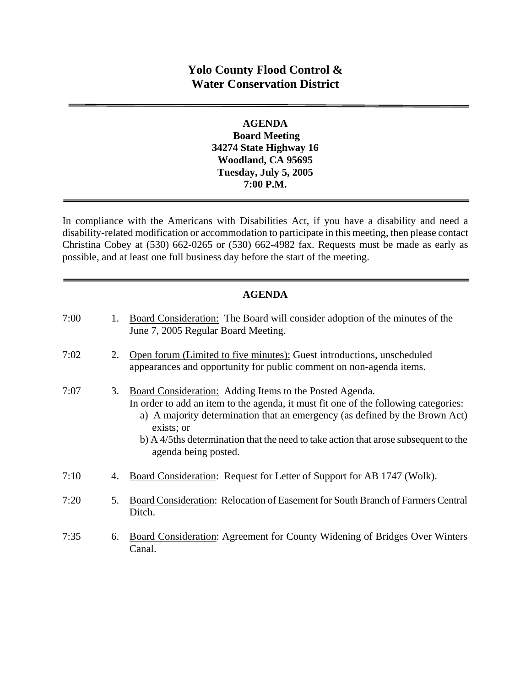# **Yolo County Flood Control & Water Conservation District**

### **AGENDA Board Meeting 34274 State Highway 16 Woodland, CA 95695 Tuesday, July 5, 2005 7:00 P.M.**

In compliance with the Americans with Disabilities Act, if you have a disability and need a disability-related modification or accommodation to participate in this meeting, then please contact Christina Cobey at (530) 662-0265 or (530) 662-4982 fax. Requests must be made as early as possible, and at least one full business day before the start of the meeting.

### **AGENDA**

| 7:00 | 1. | Board Consideration: The Board will consider adoption of the minutes of the<br>June 7, 2005 Regular Board Meeting.                                                                                                                                                                                                                                                |
|------|----|-------------------------------------------------------------------------------------------------------------------------------------------------------------------------------------------------------------------------------------------------------------------------------------------------------------------------------------------------------------------|
| 7:02 | 2. | Open forum (Limited to five minutes): Guest introductions, unscheduled<br>appearances and opportunity for public comment on non-agenda items.                                                                                                                                                                                                                     |
| 7:07 | 3. | <b>Board Consideration:</b> Adding Items to the Posted Agenda.<br>In order to add an item to the agenda, it must fit one of the following categories:<br>a) A majority determination that an emergency (as defined by the Brown Act)<br>exists; or<br>b) A 4/5ths determination that the need to take action that arose subsequent to the<br>agenda being posted. |
| 7:10 | 4. | Board Consideration: Request for Letter of Support for AB 1747 (Wolk).                                                                                                                                                                                                                                                                                            |
| 7:20 | 5. | Board Consideration: Relocation of Easement for South Branch of Farmers Central<br>Ditch.                                                                                                                                                                                                                                                                         |
| 7:35 | 6. | Board Consideration: Agreement for County Widening of Bridges Over Winters<br>Canal.                                                                                                                                                                                                                                                                              |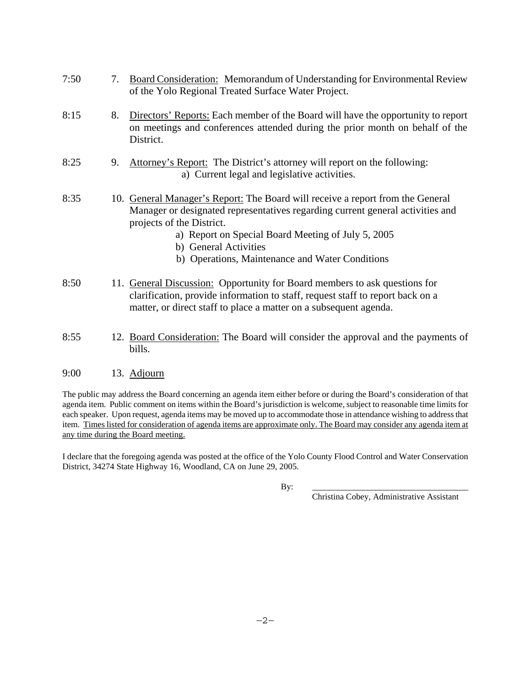| 7:50 | 7. | <b>Board Consideration:</b> Memorandum of Understanding for Environmental Review<br>of the Yolo Regional Treated Surface Water Project.                                                                                                                                                                                         |
|------|----|---------------------------------------------------------------------------------------------------------------------------------------------------------------------------------------------------------------------------------------------------------------------------------------------------------------------------------|
| 8:15 | 8. | Directors' Reports: Each member of the Board will have the opportunity to report<br>on meetings and conferences attended during the prior month on behalf of the<br>District.                                                                                                                                                   |
| 8:25 | 9. | Attorney's Report: The District's attorney will report on the following:<br>a) Current legal and legislative activities.                                                                                                                                                                                                        |
| 8:35 |    | 10. General Manager's Report: The Board will receive a report from the General<br>Manager or designated representatives regarding current general activities and<br>projects of the District.<br>a) Report on Special Board Meeting of July 5, 2005<br>b) General Activities<br>b) Operations, Maintenance and Water Conditions |
| 8:50 |    | 11. General Discussion: Opportunity for Board members to ask questions for<br>clarification, provide information to staff, request staff to report back on a<br>matter, or direct staff to place a matter on a subsequent agenda.                                                                                               |

8:55 12. Board Consideration: The Board will consider the approval and the payments of bills.

#### 9:00 13. Adjourn

The public may address the Board concerning an agenda item either before or during the Board's consideration of that agenda item. Public comment on items within the Board's jurisdiction is welcome, subject to reasonable time limits for each speaker. Upon request, agenda items may be moved up to accommodate those in attendance wishing to address that item. Times listed for consideration of agenda items are approximate only. The Board may consider any agenda item at any time during the Board meeting.

I declare that the foregoing agenda was posted at the office of the Yolo County Flood Control and Water Conservation District, 34274 State Highway 16, Woodland, CA on June 29, 2005.

By: \_\_\_\_\_\_\_\_\_\_\_\_\_\_\_\_\_\_\_\_\_\_\_\_\_\_\_\_\_\_\_\_\_\_\_\_\_

Christina Cobey, Administrative Assistant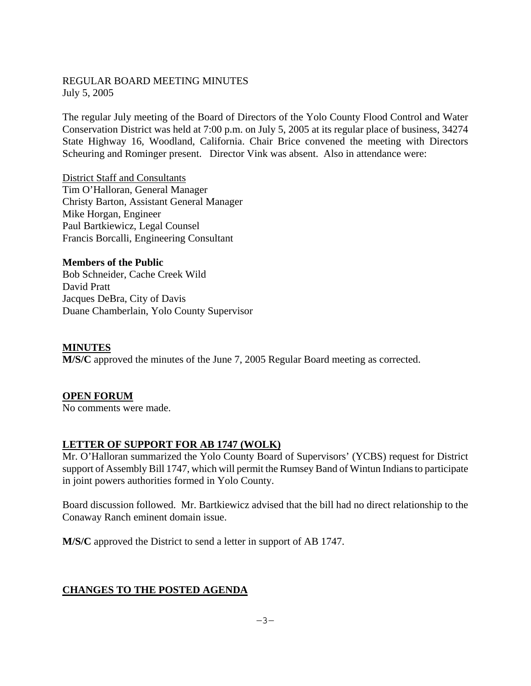#### REGULAR BOARD MEETING MINUTES July 5, 2005

The regular July meeting of the Board of Directors of the Yolo County Flood Control and Water Conservation District was held at 7:00 p.m. on July 5, 2005 at its regular place of business, 34274 State Highway 16, Woodland, California. Chair Brice convened the meeting with Directors Scheuring and Rominger present. Director Vink was absent. Also in attendance were:

District Staff and Consultants Tim O'Halloran, General Manager Christy Barton, Assistant General Manager Mike Horgan, Engineer Paul Bartkiewicz, Legal Counsel Francis Borcalli, Engineering Consultant

**Members of the Public**  Bob Schneider, Cache Creek Wild David Pratt Jacques DeBra, City of Davis Duane Chamberlain, Yolo County Supervisor

#### **MINUTES**

**M/S/C** approved the minutes of the June 7, 2005 Regular Board meeting as corrected.

### **OPEN FORUM**

No comments were made.

### **LETTER OF SUPPORT FOR AB 1747 (WOLK)**

Mr. O'Halloran summarized the Yolo County Board of Supervisors' (YCBS) request for District support of Assembly Bill 1747, which will permit the Rumsey Band of Wintun Indians to participate in joint powers authorities formed in Yolo County.

Board discussion followed. Mr. Bartkiewicz advised that the bill had no direct relationship to the Conaway Ranch eminent domain issue.

**M/S/C** approved the District to send a letter in support of AB 1747.

### **CHANGES TO THE POSTED AGENDA**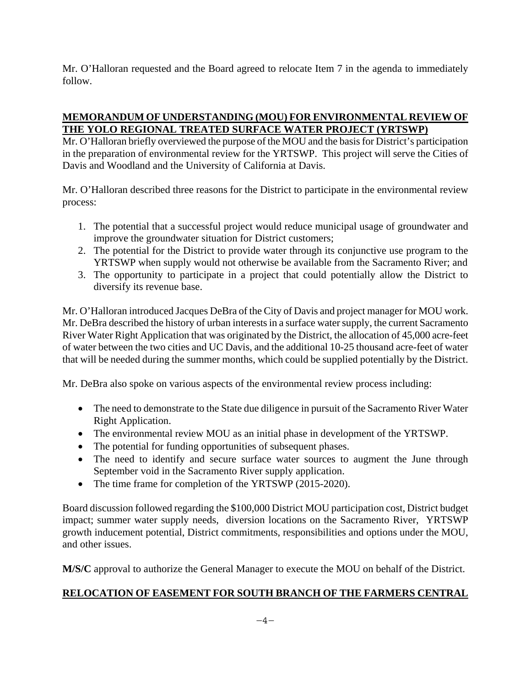Mr. O'Halloran requested and the Board agreed to relocate Item 7 in the agenda to immediately follow.

# **MEMORANDUM OF UNDERSTANDING (MOU) FOR ENVIRONMENTAL REVIEW OF THE YOLO REGIONAL TREATED SURFACE WATER PROJECT (YRTSWP)**

Mr. O'Halloran briefly overviewed the purpose of the MOU and the basis for District's participation in the preparation of environmental review for the YRTSWP. This project will serve the Cities of Davis and Woodland and the University of California at Davis.

Mr. O'Halloran described three reasons for the District to participate in the environmental review process:

- 1. The potential that a successful project would reduce municipal usage of groundwater and improve the groundwater situation for District customers;
- 2. The potential for the District to provide water through its conjunctive use program to the YRTSWP when supply would not otherwise be available from the Sacramento River; and
- 3. The opportunity to participate in a project that could potentially allow the District to diversify its revenue base.

Mr. O'Halloran introduced Jacques DeBra of the City of Davis and project manager for MOU work. Mr. DeBra described the history of urban interests in a surface water supply, the current Sacramento River Water Right Application that was originated by the District, the allocation of 45,000 acre-feet of water between the two cities and UC Davis, and the additional 10-25 thousand acre-feet of water that will be needed during the summer months, which could be supplied potentially by the District.

Mr. DeBra also spoke on various aspects of the environmental review process including:

- The need to demonstrate to the State due diligence in pursuit of the Sacramento River Water Right Application.
- The environmental review MOU as an initial phase in development of the YRTSWP.
- The potential for funding opportunities of subsequent phases.
- The need to identify and secure surface water sources to augment the June through September void in the Sacramento River supply application.
- The time frame for completion of the YRTSWP (2015-2020).

Board discussion followed regarding the \$100,000 District MOU participation cost, District budget impact; summer water supply needs, diversion locations on the Sacramento River, YRTSWP growth inducement potential, District commitments, responsibilities and options under the MOU, and other issues.

**M/S/C** approval to authorize the General Manager to execute the MOU on behalf of the District.

# **RELOCATION OF EASEMENT FOR SOUTH BRANCH OF THE FARMERS CENTRAL**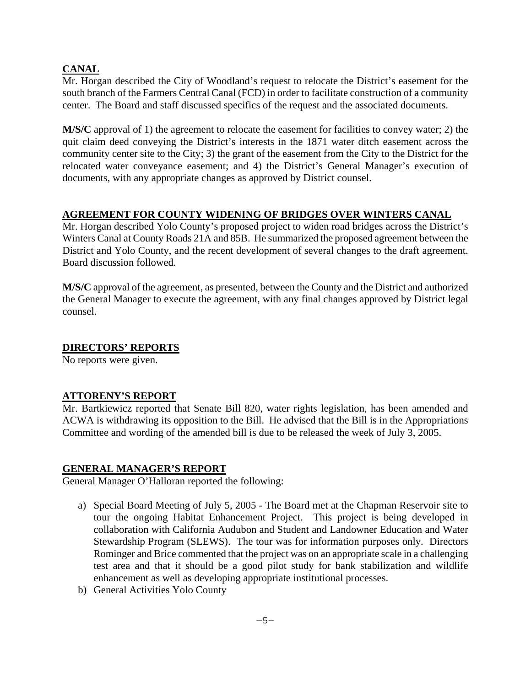### **CANAL**

Mr. Horgan described the City of Woodland's request to relocate the District's easement for the south branch of the Farmers Central Canal (FCD) in order to facilitate construction of a community center. The Board and staff discussed specifics of the request and the associated documents.

**M/S/C** approval of 1) the agreement to relocate the easement for facilities to convey water; 2) the quit claim deed conveying the District's interests in the 1871 water ditch easement across the community center site to the City; 3) the grant of the easement from the City to the District for the relocated water conveyance easement; and 4) the District's General Manager's execution of documents, with any appropriate changes as approved by District counsel.

# **AGREEMENT FOR COUNTY WIDENING OF BRIDGES OVER WINTERS CANAL**

Mr. Horgan described Yolo County's proposed project to widen road bridges across the District's Winters Canal at County Roads 21A and 85B. He summarized the proposed agreement between the District and Yolo County, and the recent development of several changes to the draft agreement. Board discussion followed.

**M/S/C** approval of the agreement, as presented, between the County and the District and authorized the General Manager to execute the agreement, with any final changes approved by District legal counsel.

### **DIRECTORS' REPORTS**

No reports were given.

### **ATTORENY'S REPORT**

Mr. Bartkiewicz reported that Senate Bill 820, water rights legislation, has been amended and ACWA is withdrawing its opposition to the Bill. He advised that the Bill is in the Appropriations Committee and wording of the amended bill is due to be released the week of July 3, 2005.

### **GENERAL MANAGER'S REPORT**

General Manager O'Halloran reported the following:

- a) Special Board Meeting of July 5, 2005 The Board met at the Chapman Reservoir site to tour the ongoing Habitat Enhancement Project. This project is being developed in collaboration with California Audubon and Student and Landowner Education and Water Stewardship Program (SLEWS). The tour was for information purposes only. Directors Rominger and Brice commented that the project was on an appropriate scale in a challenging test area and that it should be a good pilot study for bank stabilization and wildlife enhancement as well as developing appropriate institutional processes.
- b) General Activities Yolo County